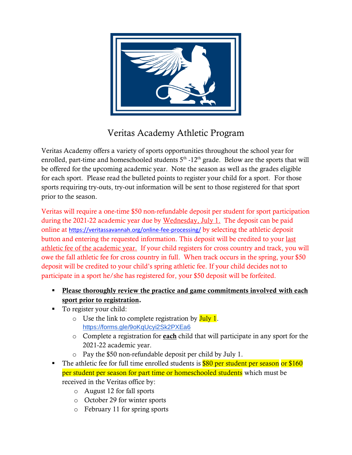

# Veritas Academy Athletic Program

Veritas Academy offers a variety of sports opportunities throughout the school year for enrolled, part-time and homeschooled students  $5<sup>th</sup>$  -12<sup>th</sup> grade. Below are the sports that will be offered for the upcoming academic year. Note the season as well as the grades eligible for each sport. Please read the bulleted points to register your child for a sport. For those sports requiring try-outs, try-out information will be sent to those registered for that sport prior to the season.

Veritas will require a one-time \$50 non-refundable deposit per student for sport participation during the 2021-22 academic year due by Wednesday, July 1. The deposit can be paid online at <https://veritassavannah.org/online-fee-processing/> by selecting the athletic deposit button and entering the requested information. This deposit will be credited to your last athletic fee of the academic year. If your child registers for cross country and track, you will owe the fall athletic fee for cross country in full. When track occurs in the spring, your \$50 deposit will be credited to your child's spring athletic fee. If your child decides not to participate in a sport he/she has registered for, your \$50 deposit will be forfeited.

- **Please thoroughly review the practice and game commitments involved with each** sport prior to registration.
- To register your child:
	- $\circ$  Use the link to complete registration by July 1. <https://forms.gle/9oKqUcyi2Sk2PXEa6>
	- $\circ$  Complete a registration for **each** child that will participate in any sport for the 2021-22 academic year.
	- o Pay the \$50 non-refundable deposit per child by July 1.
- The athletic fee for full time enrolled students is **\$80 per student per season or \$160** per student per season for part time or homeschooled students which must be received in the Veritas office by:
	- o August 12 for fall sports
	- o October 29 for winter sports
	- o February 11 for spring sports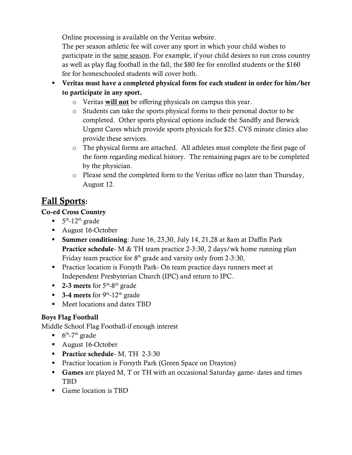Online processing is available on the Veritas website.

The per season athletic fee will cover any sport in which your child wishes to participate in the same season. For example, if your child desires to run cross country as well as play flag football in the fall, the \$80 fee for enrolled students or the \$160 fee for homeschooled students will cover both.

- Veritas must have a completed physical form for each student in order for him/her to participate in any sport.
	- o Veritas will not be offering physicals on campus this year.
	- o Students can take the sports physical forms to their personal doctor to be completed. Other sports physical options include the Sandfly and Berwick Urgent Cares which provide sports physicals for \$25. CVS minute clinics also provide these services.
	- o The physical forms are attached. All athletes must complete the first page of the form regarding medical history. The remaining pages are to be completed by the physician.
	- o Please send the completed form to the Veritas office no later than Thursday, August 12.

# Fall Sports:

### Co-ed Cross Country

- $\blacksquare$  5<sup>th</sup>-12<sup>th</sup> grade
- August 16-October
- **Example:** Summer conditioning: June 16, 23,30, July 14, 21,28 at 8am at Daffin Park **Practice schedule-** M & TH team practice 2-3:30, 2 days/wk home running plan Friday team practice for  $8<sup>th</sup>$  grade and varsity only from 2-3:30,
- **•** Practice location is Forsyth Park- On team practice days runners meet at Independent Presbyterian Church (IPC) and return to IPC.
- **-** 2-3 meets for  $5^{\text{th}}$ -8<sup>th</sup> grade
- $\blacksquare$  3-4 meets for 9<sup>th</sup>-12<sup>th</sup> grade
- Meet locations and dates TBD

### Boys Flag Football

Middle School Flag Football-if enough interest

- $\bullet$  6<sup>th</sup>-7<sup>th</sup> grade
- August 16-October
- **•** Practice schedule- M, TH 2-3:30
- Practice location is Forsyth Park (Green Space on Drayton)
- Games are played M, T or TH with an occasional Saturday game-dates and times TBD
- Game location is TBD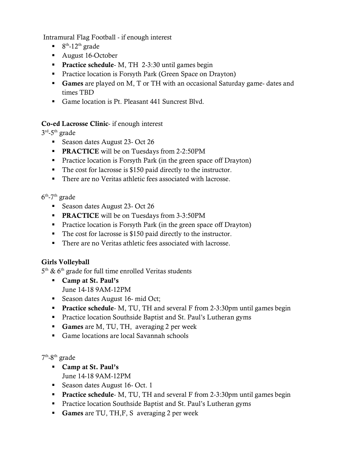Intramural Flag Football - if enough interest

- $\bullet$  8<sup>th</sup>-12<sup>th</sup> grade
- August 16-October
- **Practice schedule-** M, TH 2-3:30 until games begin
- Practice location is Forsyth Park (Green Space on Drayton)
- **Games** are played on M, T or TH with an occasional Saturday game-dates and times TBD
- Game location is Pt. Pleasant 441 Suncrest Blvd.

### Co-ed Lacrosse Clinic- if enough interest

 $3^{\text{rd}}$ -5<sup>th</sup> grade

- Season dates August 23- Oct 26
- **PRACTICE** will be on Tuesdays from 2-2:50PM
- Practice location is Forsyth Park (in the green space off Drayton)
- The cost for lacrosse is \$150 paid directly to the instructor.
- There are no Veritas athletic fees associated with lacrosse.

 $6<sup>th</sup>$ -7<sup>th</sup> grade

- Season dates August 23- Oct 26
- **PRACTICE** will be on Tuesdays from 3-3:50PM
- Practice location is Forsyth Park (in the green space off Drayton)
- The cost for lacrosse is \$150 paid directly to the instructor.
- There are no Veritas athletic fees associated with lacrosse.

### Girls Volleyball

 $5<sup>th</sup>$  & 6<sup>th</sup> grade for full time enrolled Veritas students

- Camp at St. Paul's June 14-18 9AM-12PM
- Season dates August 16- mid Oct;
- **Practice schedule-** M, TU, TH and several F from 2-3:30pm until games begin
- **•** Practice location Southside Baptist and St. Paul's Lutheran gyms
- **Games** are M, TU, TH, averaging 2 per week
- Game locations are local Savannah schools

7<sup>th</sup>-8<sup>th</sup> grade

- Camp at St. Paul's
	- June 14-18 9AM-12PM
- Season dates August 16- Oct. 1
- **Practice schedule-** M, TU, TH and several F from 2-3:30pm until games begin
- Practice location Southside Baptist and St. Paul's Lutheran gyms
- **Games are TU, TH, F, S** averaging 2 per week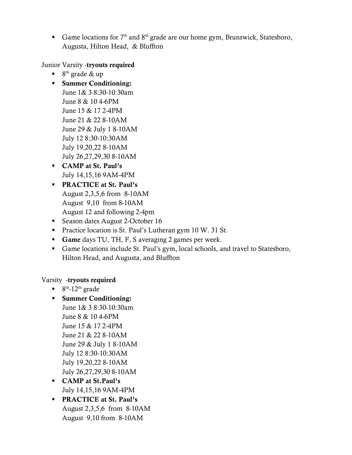Game locations for  $7<sup>th</sup>$  and  $8<sup>th</sup>$  grade are our home gym, Brunswick, Statesboro, Augusta, Hilton Head, & Bluffton

Junior Varsity -tryouts required

- $\blacksquare$  8<sup>th</sup> grade & up
- Summer Conditioning: June 1& 3 8:30-10:30am June 8 & 10 4-6PM June 15 & 17 2-4PM June 21 & 22 8-10AM June 29 & July 1 8-10AM July 12 8:30-10:30AM July 19,20,22 8-10AM July 26,27,29,30 8-10AM
- CAMP at St. Paul's July 14,15,16 9AM-4PM
- **PRACTICE at St. Paul's** August 2,3,5,6 from 8-10AM August 9,10 from 8-10AM August 12 and following 2-4pm
- Season dates August 2-October 16
- Practice location is St. Paul's Lutheran gym 10 W. 31 St.
- Game days TU, TH, F, S averaging 2 games per week.
- Game locations include St. Paul's gym, local schools, and travel to Statesboro, Hilton Head, and Augusta, and Bluffton

#### Varsity -tryouts required

- $\blacksquare$  8<sup>th</sup>-12<sup>th</sup> grade
- Summer Conditioning: June 1& 3 8:30-10:30am June 8 & 10 4-6PM June 15 & 17 2-4PM June 21 & 22 8-10AM June 29 & July 1 8-10AM July 12 8:30-10:30AM July 19,20,22 8-10AM July 26,27,29,30 8-10AM
- CAMP at St.Paul's July 14,15,16 9AM-4PM
- **PRACTICE at St. Paul's** August 2,3,5,6 from 8-10AM August 9,10 from 8-10AM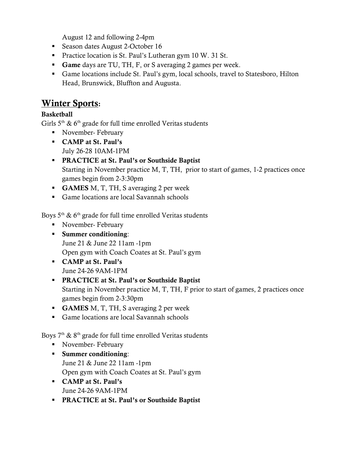August 12 and following 2-4pm

- Season dates August 2-October 16
- Practice location is St. Paul's Lutheran gym 10 W. 31 St.
- Game days are TU, TH, F, or S averaging 2 games per week.
- Game locations include St. Paul's gym, local schools, travel to Statesboro, Hilton Head, Brunswick, Bluffton and Augusta.

## Winter Sports:

### **Basketball**

Girls  $5<sup>th</sup>$  &  $6<sup>th</sup>$  grade for full time enrolled Veritas students

- November- February
- CAMP at St. Paul's July 26-28 10AM-1PM
- **PRACTICE at St. Paul's or Southside Baptist** Starting in November practice M, T, TH, prior to start of games, 1-2 practices once games begin from 2-3:30pm
- **GAMES** M, T, TH, S averaging 2 per week
- Game locations are local Savannah schools

Boys  $5<sup>th</sup>$  & 6<sup>th</sup> grade for full time enrolled Veritas students

- November- February
- Summer conditioning: June 21 & June 22 11am -1pm Open gym with Coach Coates at St. Paul's gym
- CAMP at St. Paul's June 24-26 9AM-1PM
- **PRACTICE at St. Paul's or Southside Baptist** Starting in November practice M, T, TH, F prior to start of games, 2 practices once games begin from 2-3:30pm
- **GAMES** M, T, TH, S averaging 2 per week
- Game locations are local Savannah schools

Boys  $7<sup>th</sup>$  &  $8<sup>th</sup>$  grade for full time enrolled Veritas students

- November- February
- Summer conditioning: June 21 & June 22 11am -1pm Open gym with Coach Coates at St. Paul's gym
- CAMP at St. Paul's June 24-26 9AM-1PM
- **PRACTICE at St. Paul's or Southside Baptist**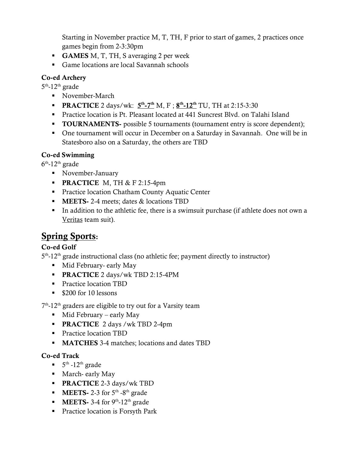Starting in November practice M, T, TH, F prior to start of games, 2 practices once games begin from 2-3:30pm

- **GAMES** M, T, TH, S averaging 2 per week
- Game locations are local Savannah schools

### Co-ed Archery

 $5<sup>th</sup>$ -12<sup>th</sup> grade

- November-March
- **PRACTICE** 2 days/wk:  $5<sup>th</sup> 7<sup>th</sup>$  M, F;  $8<sup>th</sup> 12<sup>th</sup>$  TU, TH at 2:15-3:30
- Practice location is Pt. Pleasant located at 441 Suncrest Blvd. on Talahi Island
- **TOURNAMENTS-** possible 5 tournaments (tournament entry is score dependent);
- One tournament will occur in December on a Saturday in Savannah. One will be in Statesboro also on a Saturday, the others are TBD

### Co-ed Swimming

 $6<sup>th</sup>$ -12<sup>th</sup> grade

- November-January
- **PRACTICE** M, TH  $&$  F 2:15-4pm
- Practice location Chatham County Aquatic Center
- **EXECUTE:** 1-4 meets; dates & locations TBD
- In addition to the athletic fee, there is a swimsuit purchase (if athlete does not own a Veritas team suit).

# Spring Sports:

### Co-ed Golf

5<sup>th</sup>-12<sup>th</sup> grade instructional class (no athletic fee; payment directly to instructor)

- **EXECUTE:** Mid February- early May
- **PRACTICE** 2 days/wk TBD 2:15-4PM
- **•** Practice location TBD
- \$200 for 10 lessons

7<sup>th</sup>-12<sup>th</sup> graders are eligible to try out for a Varsity team

- $\blacksquare$  Mid February early May
- **PRACTICE** 2 days /wk TBD 2-4pm
- Practice location TBD
- **MATCHES** 3-4 matches; locations and dates TBD

### Co-ed Track

- $\blacksquare$  5<sup>th</sup> -12<sup>th</sup> grade
- March- early May
- **PRACTICE 2-3 days/wk TBD**
- **•** MEETS- 2-3 for  $5^{\text{th}}$  -8<sup>th</sup> grade
- **•** MEETS- 3-4 for  $9<sup>th</sup>$ -12<sup>th</sup> grade
- **•** Practice location is Forsyth Park